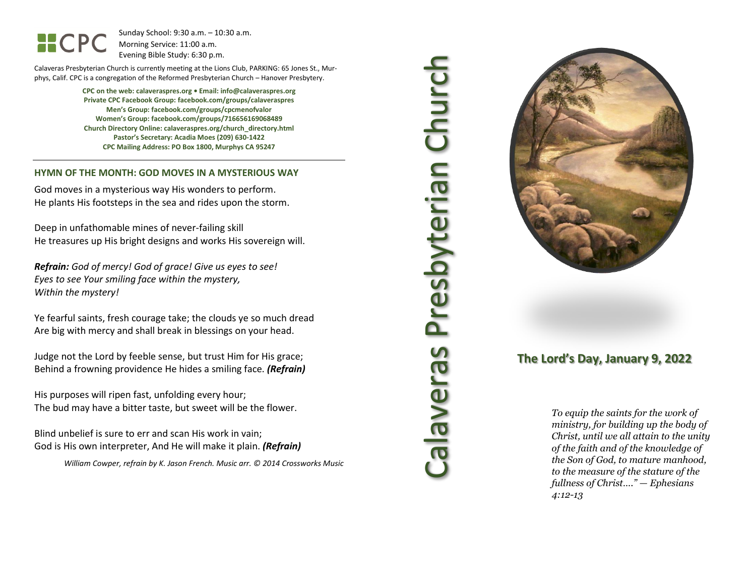HCPC

Sunday School: 9: 3 0 a.m. – 10:30 a.m. Morning Service: 1 1 :00 a.m. Evening Bible Study: 6: 30 p.m.

Calaveras Presbyterian Church is currently meeting at the Lions Club, PARKING: 65 Jones St., Murphys, Calif. CPC is a congregation of the Reformed Presbyterian Church – Hanover Presbytery.

> **CPC on the web: calaveraspres.org • Email: [info@calaveraspres.org](mailto:info@calaveraspres.org) Private CPC Facebook Group: facebook.com/groups/calaveraspres Men's Group: facebook.com/groups/cpcmenofvalor Women's Group: facebook.com/groups/716656169068489 Church Directory Online: calaveraspres.org/church \_directory.html Pastor's Secretary: Acadia Moes (209) 630 -1422 CPC Mailing Address: PO Box 1800, Murphys CA 95247**

#### **HYMN OF THE MONTH: GOD MOVES IN A MYSTERIOUS WAY**

God moves in a mysterious way His wonders to perform. He plants His footsteps in the sea and rides upon the storm.

Deep in unfathomable mines of never -failing skill He treasures up His bright designs and works His sovereign will.

*Refrain : God of mercy! God of grace ! Give us eyes to see! Eyes to see Your smiling face within the mystery, Within the mystery!*

Ye fearful saints, fresh courage take; the clouds ye so much dread Are big with mercy and shall break in blessings on your head .

Judge not the Lord by feeble sense, but trust Him for His grace; Behind a frowning providence He hides a smiling face. *(Refrain)*

His purposes will ripen fast, unfolding every hour; The bud may have a bitter taste, but sweet will be the flower.

Blind unbelief is sure to err and scan His work in vain; God is His own interpreter, And He will make it plain. *(Refrain)*

*William Cowper, refrain by K. Jason French . Music arr. © 2014 Crossworks Music*

Calaveras Presbyterian Church Presbyterian Churc seuaners



### **The Lord's Day, January 9, 202 2**

*To equip the saints for the work of ministry, for building up the body of Christ, until we all attain to the unity of the faith and of the knowledge of the Son of God, to mature manhood, to the measure of the stature of the fullness of Christ…." — Ephesians 4:12 -13*